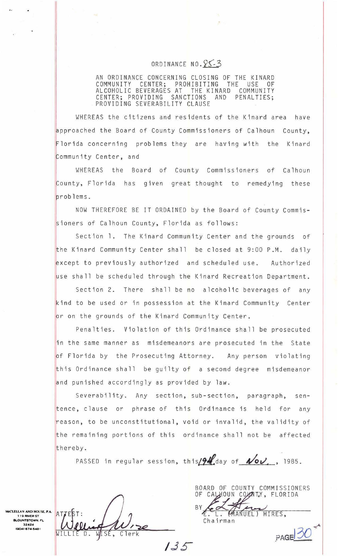## ORDINANCE NO. 85-3

AN ORDINANCE CONCERNING CLOSING OF THE KINARD<br>COMMUNITY CENTER; PROHIBITING THE USE OF COMMUNITY CENTER; PROHIBITING THE USE OF ALCOHOLIC BEVERAGES AT THE KINARD COMMUNITY CENTER; PROVIDING SANCTIONS AND PENALTIES; PROVIDING SEVERABILITY CLAUSE

WHEREAS the citizens and residents of the Kinard area have pproached the Board of County Commissioners of Calhoun County, Florida concerning problems they are having with the Kinard Community Center, and

[ WHEREAS the Board of County Commissioners of Calhoun ounty, Florida has given great thought to remedying these roblems.

NOW THEREFORE BE IT ORDAINED by the Board of County Commissioners of Calhoun County, Florida as follows:

Section 1. The Kinard Community Center and the grounds of the Kinard Community Center shall be closed at 9:00 P.M. daily except to previously authorized and scheduled use. Authorized use shall be scheduled through the Kinard Recreation Department.

Section 2. There shall be no alcoholic beverages of any kind to be used or in possession at the Kinard Community Center or on the grounds of the Kinard Community Center.

Penalties. Violation of this Ordinance shall be prosecuted in the same manner as misdemeanors are prosecuted in the State of Florida by the Prosecuting Attorney. Any person violating his Ordinance shall be guilty of a second degree misdemeanor and punished accordingly as provided by law.

Severability. Any section, sub-section, paragraph, sentence, clause or phrase of this Ordinance is held for any reason, to be unconstitutional, void or invalid, the validity of he remaining portions of this ordinance shall not be affected thereby.

PASSED in regular session, this  $\frac{94}{100}$  of  $\sqrt{01}$ , 1985.

CLELLAN AND HOUSE, P.A. 119 RIVER ST **BLOUNTSTOWN. FL.** 32424<br>(904) 674-5481

WISE,  $C$ lerk

BOARD OF COUNTY COMMISSIONERS OF CALHOUN COUNTY, FLORIDA MANUEL) HIRES, L. Chairman

PAGE 3

 $135$